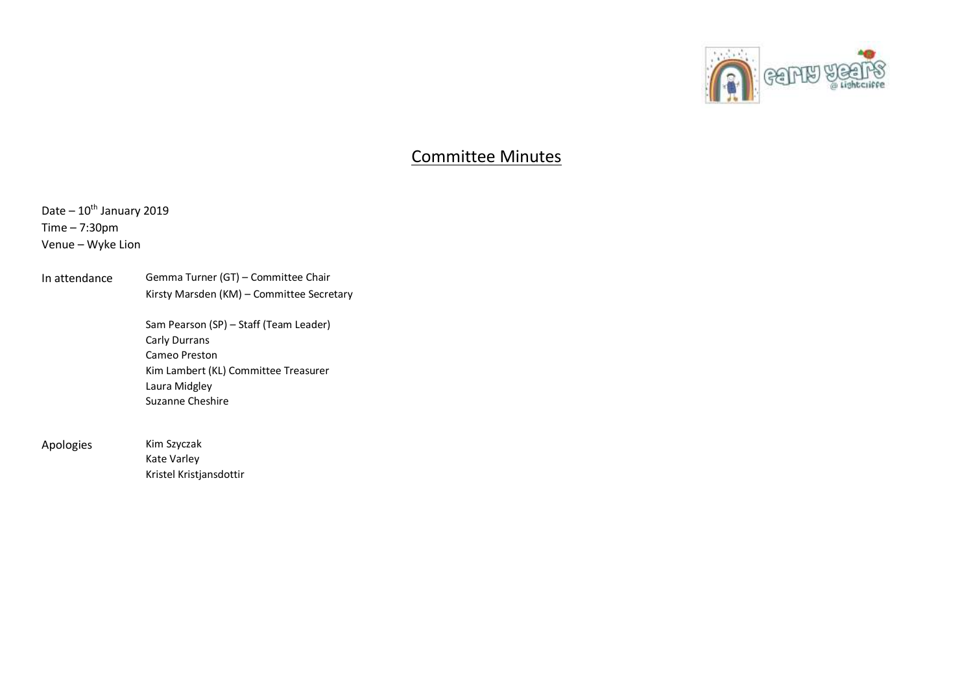

## Committee Minutes

Date –  $10^{th}$  January 2019 Time – 7:30pm Venue – Wyke Lion

In attendance Gemma Turner (GT) – Committee Chair Kirsty Marsden (KM) – Committee Secretary

> Sam Pearson (SP) – Staff (Team Leader) Carly Durrans Cameo Preston Kim Lambert (KL) Committee Treasurer Laura Midgley Suzanne Cheshire

Apologies Kim Szyczak

Kate Varley Kristel Kristjansdottir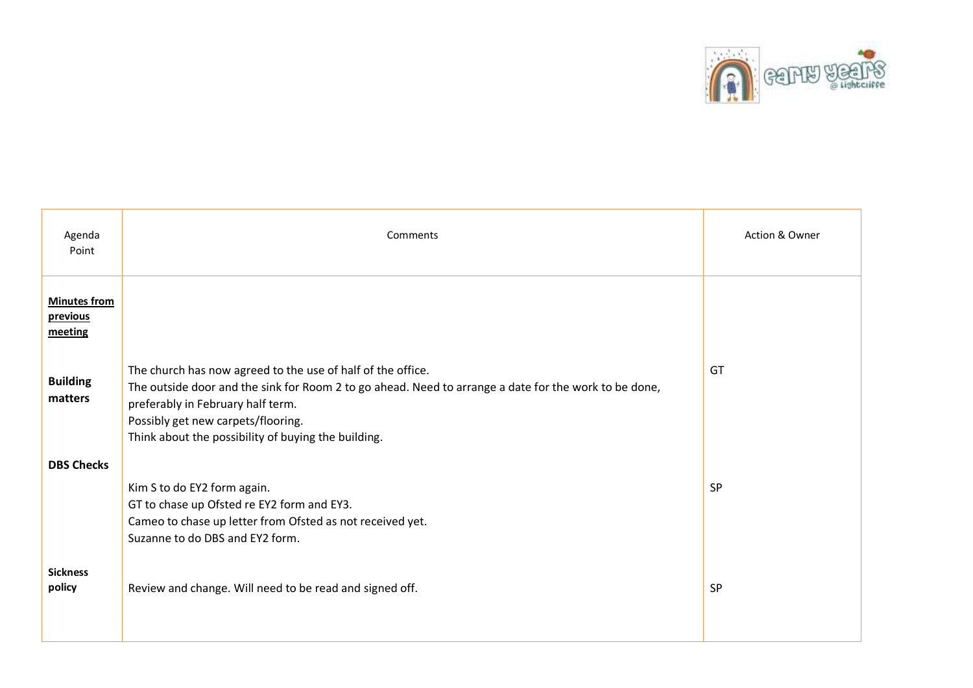

| Agenda<br>Point                            | Comments                                                                                                                                                                                                                                                                                               | Action & Owner |
|--------------------------------------------|--------------------------------------------------------------------------------------------------------------------------------------------------------------------------------------------------------------------------------------------------------------------------------------------------------|----------------|
| <b>Minutes from</b><br>previous<br>meeting |                                                                                                                                                                                                                                                                                                        |                |
| <b>Building</b><br>matters                 | The church has now agreed to the use of half of the office.<br>The outside door and the sink for Room 2 to go ahead. Need to arrange a date for the work to be done,<br>preferably in February half term.<br>Possibly get new carpets/flooring.<br>Think about the possibility of buying the building. | GT             |
| <b>DBS Checks</b>                          | Kim S to do EY2 form again.<br>GT to chase up Ofsted re EY2 form and EY3.<br>Cameo to chase up letter from Ofsted as not received yet.<br>Suzanne to do DBS and EY2 form.                                                                                                                              | SP             |
| <b>Sickness</b><br>policy                  | Review and change. Will need to be read and signed off.                                                                                                                                                                                                                                                | <b>SP</b>      |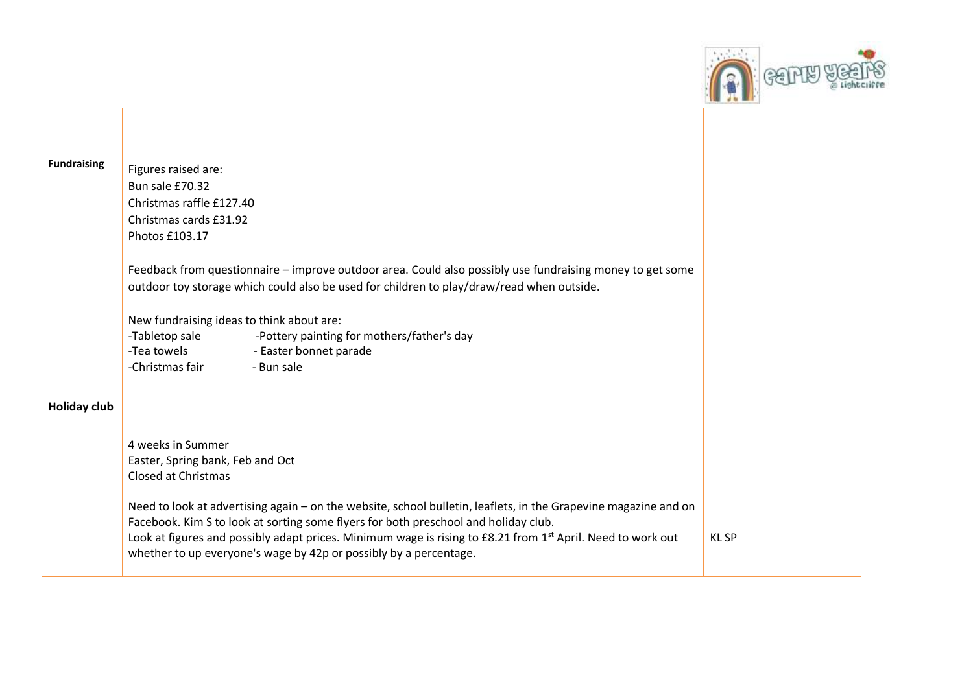

| <b>Fundraising</b>  |                                                                                                                         |             |
|---------------------|-------------------------------------------------------------------------------------------------------------------------|-------------|
|                     | Figures raised are:                                                                                                     |             |
|                     | Bun sale £70.32                                                                                                         |             |
|                     | Christmas raffle £127.40                                                                                                |             |
|                     | Christmas cards £31.92                                                                                                  |             |
|                     | Photos £103.17                                                                                                          |             |
|                     |                                                                                                                         |             |
|                     | Feedback from questionnaire – improve outdoor area. Could also possibly use fundraising money to get some               |             |
|                     | outdoor toy storage which could also be used for children to play/draw/read when outside.                               |             |
|                     |                                                                                                                         |             |
|                     | New fundraising ideas to think about are:                                                                               |             |
|                     | -Tabletop sale<br>-Pottery painting for mothers/father's day                                                            |             |
|                     | -Tea towels <b>contact contracts</b> - Easter bonnet parade                                                             |             |
|                     | -Christmas fair<br>- Bun sale                                                                                           |             |
|                     |                                                                                                                         |             |
|                     |                                                                                                                         |             |
| <b>Holiday club</b> |                                                                                                                         |             |
|                     |                                                                                                                         |             |
|                     | 4 weeks in Summer                                                                                                       |             |
|                     |                                                                                                                         |             |
|                     | Easter, Spring bank, Feb and Oct<br><b>Closed at Christmas</b>                                                          |             |
|                     |                                                                                                                         |             |
|                     | Need to look at advertising again - on the website, school bulletin, leaflets, in the Grapevine magazine and on         |             |
|                     | Facebook. Kim S to look at sorting some flyers for both preschool and holiday club.                                     |             |
|                     | Look at figures and possibly adapt prices. Minimum wage is rising to £8.21 from 1 <sup>st</sup> April. Need to work out | <b>KLSP</b> |
|                     | whether to up everyone's wage by 42p or possibly by a percentage.                                                       |             |
|                     |                                                                                                                         |             |

┳